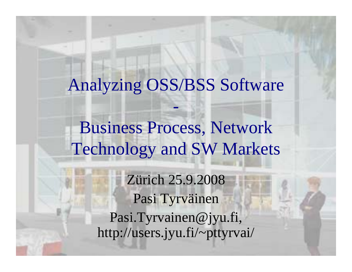### Analyzing OSS/BSS Software

Business Process, Network Technology and SW Markets

> Zürich 25.9.2008 Pasi Tyrväinen Pasi.Tyrvainen@jyu.fi, http://users.jyu.fi/~pttyrvai/

**Telecom Operator Software** <sup>z</sup> **25.9.2008 Pasi Tyrväinen**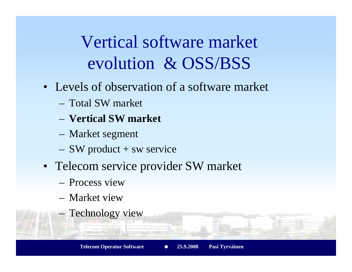Vertical software market evolution & OSS/BSS

- Levels of observation of a software market
	- Total SW market
	- **Vertical SW market**
	- Market segment
	- SW product + sw service
- Telecom service provider SW market
	- Process view
	- Market view
	- Technology view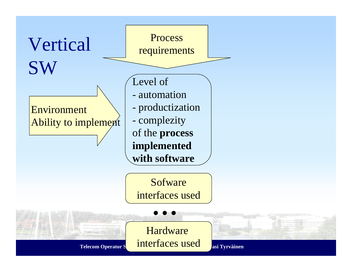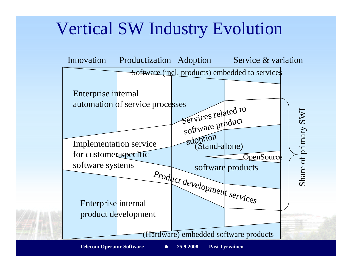#### Vertical SW Industry Evolution

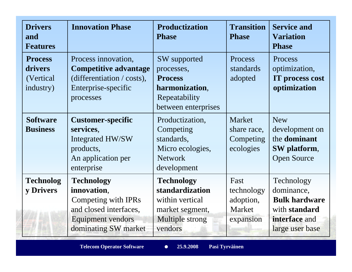| <b>Drivers</b><br>and<br><b>Features</b>             | <b>Innovation Phase</b>                                                                                                               | <b>Productization</b><br><b>Phase</b>                                                                    | <b>Transition</b><br><b>Phase</b>                      | <b>Service and</b><br><b>Variation</b><br><b>Phase</b>                                                |
|------------------------------------------------------|---------------------------------------------------------------------------------------------------------------------------------------|----------------------------------------------------------------------------------------------------------|--------------------------------------------------------|-------------------------------------------------------------------------------------------------------|
| <b>Process</b><br>drivers<br>(Vertical)<br>industry) | Process innovation,<br><b>Competitive advantage</b><br>$(differentiation / costs)$ ,<br>Enterprise-specific<br>processes              | SW supported<br>processes,<br><b>Process</b><br>harmonization,<br>Repeatability<br>between enterprises   | Process<br>standards<br>adopted                        | Process<br>optimization,<br>IT process cost<br>optimization                                           |
| <b>Software</b><br><b>Business</b>                   | <b>Customer-specific</b><br>services,<br>Integrated HW/SW<br>products,<br>An application per<br>enterprise                            | Productization,<br>Competing<br>standards,<br>Micro ecologies,<br><b>Network</b><br>development          | Market<br>share race,<br>Competing<br>ecologies        | <b>New</b><br>development on<br>the <b>dominant</b><br>SW platform,<br><b>Open Source</b>             |
| <b>Technolog</b><br>y Drivers                        | <b>Technology</b><br>innovation,<br>Competing with IPRs<br>and closed interfaces,<br><b>Equipment vendors</b><br>dominating SW market | <b>Technology</b><br>standardization<br>within vertical<br>market segment,<br>Multiple strong<br>vendors | Fast<br>technology<br>adoption,<br>Market<br>expansion | Technology<br>dominance,<br><b>Bulk hardware</b><br>with standard<br>interface and<br>large user base |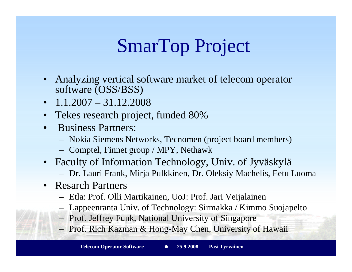# SmarTop Project

- Analyzing vertical software market of telecom operator software (OSS/BSS)
- $1.1.2007 31.12.2008$
- •• Tekes research project, funded 80%
- • Business Partners:
	- Nokia Siemens Networks, Tecnomen (project board members)
	- Comptel, Finnet group / MPY, Nethawk
- Faculty of Information Technology, Univ. of Jyväskylä
	- Dr. Lauri Frank, Mirja Pulkkinen, Dr. Oleksiy Machelis, Eetu Luoma
- Resarch Partners
	- Etla: Prof. Olli Martikainen, UoJ: Prof. Jari Veijalainen
	- Lappeenranta Univ. of Technology: Sirmakka / Kimmo Suojapelto
	- Prof. Jeffrey Funk, National University of Singapore
	- Prof. Rich Kazman & Hong-May Chen, University of Hawaii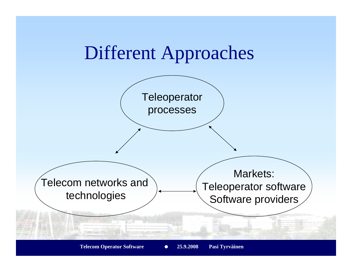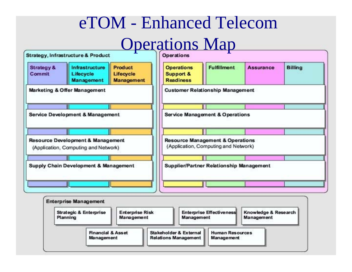#### eTOM - Enhanced Telecom

# **Operations Map**

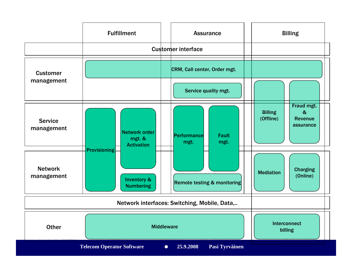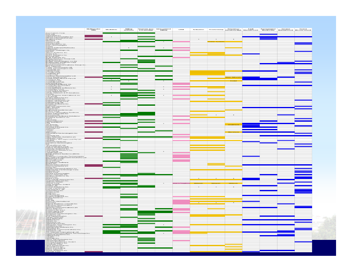|                                                                                                                                                                                                                                | Multivendor<br>EMS | Mediation | Billing<br>Systems | <b>Revenue Ass. Interconnect</b><br>& Fraud Mgt. Billing | CRM | <b>Activation</b> | Provisioning Resource/ Fault Performance Service Test &<br>Inventory Mgt, Management Monitoring Management Measurement |  |  |
|--------------------------------------------------------------------------------------------------------------------------------------------------------------------------------------------------------------------------------|--------------------|-----------|--------------------|----------------------------------------------------------|-----|-------------------|------------------------------------------------------------------------------------------------------------------------|--|--|
|                                                                                                                                                                                                                                |                    |           |                    |                                                          |     |                   |                                                                                                                        |  |  |
|                                                                                                                                                                                                                                |                    |           |                    |                                                          |     |                   |                                                                                                                        |  |  |
|                                                                                                                                                                                                                                |                    |           |                    |                                                          |     |                   |                                                                                                                        |  |  |
|                                                                                                                                                                                                                                |                    |           |                    |                                                          |     |                   |                                                                                                                        |  |  |
|                                                                                                                                                                                                                                |                    |           |                    |                                                          |     |                   |                                                                                                                        |  |  |
|                                                                                                                                                                                                                                |                    |           |                    |                                                          |     |                   |                                                                                                                        |  |  |
|                                                                                                                                                                                                                                |                    |           |                    |                                                          |     |                   |                                                                                                                        |  |  |
|                                                                                                                                                                                                                                |                    |           |                    |                                                          |     |                   |                                                                                                                        |  |  |
|                                                                                                                                                                                                                                |                    |           |                    |                                                          |     |                   |                                                                                                                        |  |  |
|                                                                                                                                                                                                                                |                    |           |                    |                                                          |     |                   |                                                                                                                        |  |  |
|                                                                                                                                                                                                                                |                    |           |                    |                                                          |     |                   |                                                                                                                        |  |  |
|                                                                                                                                                                                                                                |                    |           |                    |                                                          |     |                   |                                                                                                                        |  |  |
|                                                                                                                                                                                                                                |                    |           |                    |                                                          |     |                   |                                                                                                                        |  |  |
|                                                                                                                                                                                                                                |                    |           |                    |                                                          |     |                   |                                                                                                                        |  |  |
|                                                                                                                                                                                                                                |                    |           |                    |                                                          |     |                   |                                                                                                                        |  |  |
|                                                                                                                                                                                                                                |                    |           |                    |                                                          |     |                   |                                                                                                                        |  |  |
|                                                                                                                                                                                                                                |                    |           |                    |                                                          |     |                   |                                                                                                                        |  |  |
|                                                                                                                                                                                                                                |                    |           |                    |                                                          |     |                   |                                                                                                                        |  |  |
|                                                                                                                                                                                                                                |                    |           |                    |                                                          |     |                   |                                                                                                                        |  |  |
|                                                                                                                                                                                                                                |                    |           |                    |                                                          |     |                   |                                                                                                                        |  |  |
|                                                                                                                                                                                                                                |                    |           |                    |                                                          |     |                   |                                                                                                                        |  |  |
|                                                                                                                                                                                                                                |                    |           |                    |                                                          |     |                   |                                                                                                                        |  |  |
|                                                                                                                                                                                                                                |                    |           |                    |                                                          |     |                   |                                                                                                                        |  |  |
|                                                                                                                                                                                                                                |                    |           |                    |                                                          |     |                   |                                                                                                                        |  |  |
|                                                                                                                                                                                                                                |                    |           |                    |                                                          |     |                   |                                                                                                                        |  |  |
|                                                                                                                                                                                                                                |                    |           |                    |                                                          |     |                   |                                                                                                                        |  |  |
|                                                                                                                                                                                                                                |                    |           |                    |                                                          |     |                   |                                                                                                                        |  |  |
|                                                                                                                                                                                                                                |                    |           |                    |                                                          |     |                   |                                                                                                                        |  |  |
|                                                                                                                                                                                                                                |                    |           |                    |                                                          |     |                   |                                                                                                                        |  |  |
|                                                                                                                                                                                                                                |                    |           |                    |                                                          |     |                   |                                                                                                                        |  |  |
|                                                                                                                                                                                                                                |                    |           |                    |                                                          |     |                   |                                                                                                                        |  |  |
|                                                                                                                                                                                                                                |                    |           |                    |                                                          |     |                   |                                                                                                                        |  |  |
|                                                                                                                                                                                                                                |                    |           |                    |                                                          |     |                   |                                                                                                                        |  |  |
|                                                                                                                                                                                                                                |                    |           |                    |                                                          |     |                   |                                                                                                                        |  |  |
|                                                                                                                                                                                                                                |                    |           |                    |                                                          |     |                   |                                                                                                                        |  |  |
|                                                                                                                                                                                                                                |                    |           |                    |                                                          |     |                   |                                                                                                                        |  |  |
|                                                                                                                                                                                                                                |                    |           |                    |                                                          |     |                   |                                                                                                                        |  |  |
|                                                                                                                                                                                                                                |                    |           |                    |                                                          |     |                   |                                                                                                                        |  |  |
|                                                                                                                                                                                                                                |                    |           |                    |                                                          |     |                   |                                                                                                                        |  |  |
|                                                                                                                                                                                                                                |                    |           |                    |                                                          |     |                   |                                                                                                                        |  |  |
| Enailmente de la mateixa de la mateixa de la mateixa de la mateixa de la mateixa de la mateixa de la mateixa de la mateixa de la mateixa de la mateixa de la mateixa de la mateixa de la mateixa de la mateixa de la mateixa d |                    |           |                    |                                                          |     |                   |                                                                                                                        |  |  |
|                                                                                                                                                                                                                                |                    |           |                    |                                                          |     |                   |                                                                                                                        |  |  |
|                                                                                                                                                                                                                                |                    |           |                    |                                                          |     |                   |                                                                                                                        |  |  |
|                                                                                                                                                                                                                                |                    |           |                    |                                                          |     |                   |                                                                                                                        |  |  |
|                                                                                                                                                                                                                                |                    |           |                    |                                                          |     |                   |                                                                                                                        |  |  |
|                                                                                                                                                                                                                                |                    |           |                    |                                                          |     |                   |                                                                                                                        |  |  |
|                                                                                                                                                                                                                                |                    |           |                    |                                                          |     |                   |                                                                                                                        |  |  |
|                                                                                                                                                                                                                                |                    |           |                    |                                                          |     |                   |                                                                                                                        |  |  |
|                                                                                                                                                                                                                                |                    |           |                    |                                                          |     |                   |                                                                                                                        |  |  |
|                                                                                                                                                                                                                                |                    |           |                    |                                                          |     |                   |                                                                                                                        |  |  |
|                                                                                                                                                                                                                                |                    |           |                    |                                                          |     |                   |                                                                                                                        |  |  |
|                                                                                                                                                                                                                                |                    |           |                    |                                                          |     |                   |                                                                                                                        |  |  |
|                                                                                                                                                                                                                                |                    |           |                    |                                                          |     |                   |                                                                                                                        |  |  |
|                                                                                                                                                                                                                                |                    |           |                    |                                                          |     |                   |                                                                                                                        |  |  |
|                                                                                                                                                                                                                                |                    |           |                    |                                                          |     |                   |                                                                                                                        |  |  |
|                                                                                                                                                                                                                                |                    |           |                    |                                                          |     |                   |                                                                                                                        |  |  |
|                                                                                                                                                                                                                                |                    |           |                    |                                                          |     |                   |                                                                                                                        |  |  |
|                                                                                                                                                                                                                                |                    |           |                    |                                                          |     |                   |                                                                                                                        |  |  |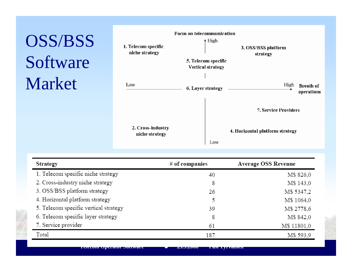# OSS/BSS Software Market



| Strategy                              | $#$ of companies | Average OSS Revenue |  |  |
|---------------------------------------|------------------|---------------------|--|--|
| 1. Telecom specific niche strategy    | 40               | M\$ 826,0           |  |  |
| 2. Cross-industry niche strategy      | 8                | M\$ 143,0           |  |  |
| 3. OSS/BSS platform strategy          | 26               | M\$ 5347,2          |  |  |
| 4. Horizontal platform strategy       | ٢                | M\$ 1064,0          |  |  |
| 5. Telecom specific vertical strategy | 39               | M\$ 2778,6          |  |  |
| 6. Telecom specific layer strategy    | 8                | M\$ 842,0           |  |  |
| 7. Service provider                   | 61               | M\$ 11801,0         |  |  |
| Total                                 | 187              | M\$ 593,9           |  |  |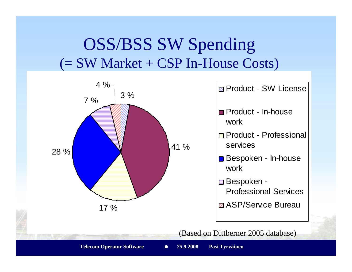#### OSS/BSS SW Spending  $(= SW Market + CSP In-House Costs)$

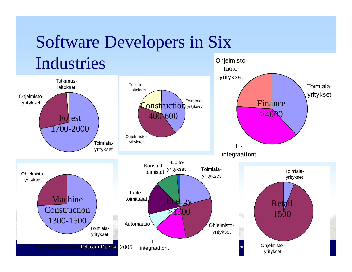# Software Developers in Six

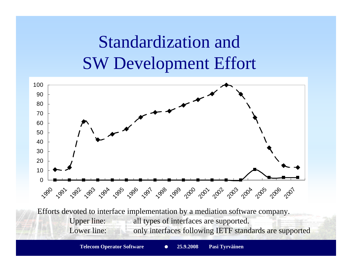## Standardization and SW Development Effort



Efforts devoted to interface implementation by a mediation software company. Upper line: all types of interfaces are supported. Lower line: only interfaces following IETF standards are supported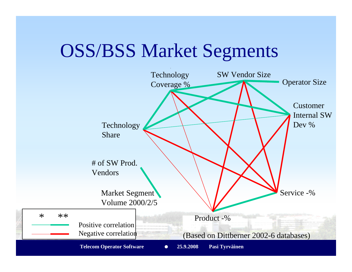## OSS/BSS Market Segments

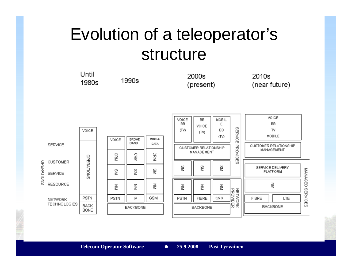### structure structure Evolution of a teleoperator's

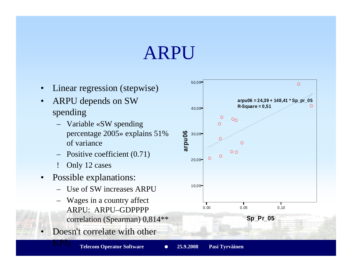# ARPU

- •Linear regression (stepwise)
- • ARPU depends on SW spending
	- Variable «SW spending percentage 2005» explains 51% of variance
	- Positive coefficient (0.71)
	- ! Only 12 cases
- • Possible explanations:
	- Use of SW increases ARPU
	- – Wages in a country affect ARPU: ARPU–GDPPPP correlation (Spearman) 0,814\*\*
- •Doesn't correlate with other

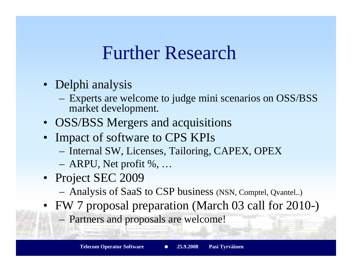## Further Research

- Delphi analysis
	- Experts are welcome to judge mini scenarios on OSS/BSS market development.
- OSS/BSS Mergers and acquisitions
- Impact of software to CPS KPIs
	- Internal SW, Licenses, Tailoring, CAPEX, OPEX
	- ARPU, Net profit %, …
- Project SEC 2009
	- Analysis of SaaS to CSP business (NSN, Comptel, Qvantel..)
- FW 7 proposal preparation (March 03 call for 2010-)
	- Partners and proposals are welcome!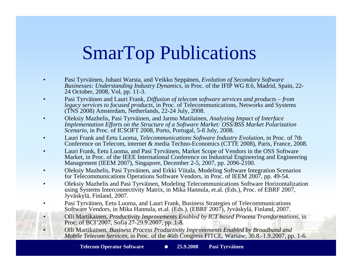# SmarTop Publications

- • Pasi Tyrväinen, Juhani Warsta, and Veikko Seppänen, *Evolution of Secondary Software Businesses: Understanding Industry Dynamics,* in Proc. of the IFIP WG 8.6, Madrid, Spain, 22- 24 October, 2008, Vol, pp. 11-3.
- • Pasi Tyrväinen and Lauri Frank, *Diffusion of telecom software services and products – from legacy services to focused products*, in Proc. of Telecommunications, Networks and Systems (TNS 2008) Amsterdam, Netherlands, 22-24 July, 2008.
- • Oleksiy Mazhelis, Pasi Tyrväinen, and Jarmo Matilainen, *Analyzing Impact of Interface Implementation Efforts on the Structure of a Software Market: OSS/BSS Market Polarization Scenario*, in Proc. of ICSOFT 2008, Porto, Portugal, 5-8 July, 2008.
- • Lauri Frank and Eetu Luoma, *Telecommunications Software Industry Evolution*, in Proc. of 7th Conference on Telecom, internet & media Techno-Economics (CTTE 2008), Paris, France, 2008.
- • Lauri Frank, Eetu Luoma, and Pasi Tyrväinen, Market Scope of Vendors in the OSS Software Market, in Proc. of the IEEE International Conference on Industrial Engineering and Engineering Management (IEEM 2007), Singapore, December 2-5, 2007, pp. 2096-2100.
- • Oleksiy Mazhelis, Pasi Tyrväinen, and Erkki Viitala, Modeling Software Integration Scenarios for Telecommunications Operations Software Vendors, in Proc. of IEEM 2007, pp. 49-54.
- • Oleksiy Mazhelis and Pasi Tyrväinen, Modeling Telecommunications Software Horizontalization using Systems Interconnectivity Matrix, in Mika Hannula, et.al. (Eds.), Proc. of EBRF 2007, Jyväskylä, Finland, 2007.
- • Pasi Tyrväinen, Eetu Luoma, and Lauri Frank, Business Strategies of Telecommunications Software Vendors, in Mika Hannula, et.al. (Eds.), (EBRF 2007), Jyväskylä, Finland, 2007.
- • Olli Martikainen, *Productivity Improvements Enabled by ICT based Process Transformations*, in Proc. of BCI'2007, Sofia 27-29.9.2007, pp. 1-8.
	- Olli Martikainen, *Business Process Productivity Improvements Enabled by Broadband and Mobile Telecom Services*, in Proc. of the 46th Congress FITCE, Warsaw, 30.8.-1.9.2007, pp. 1-6.

•